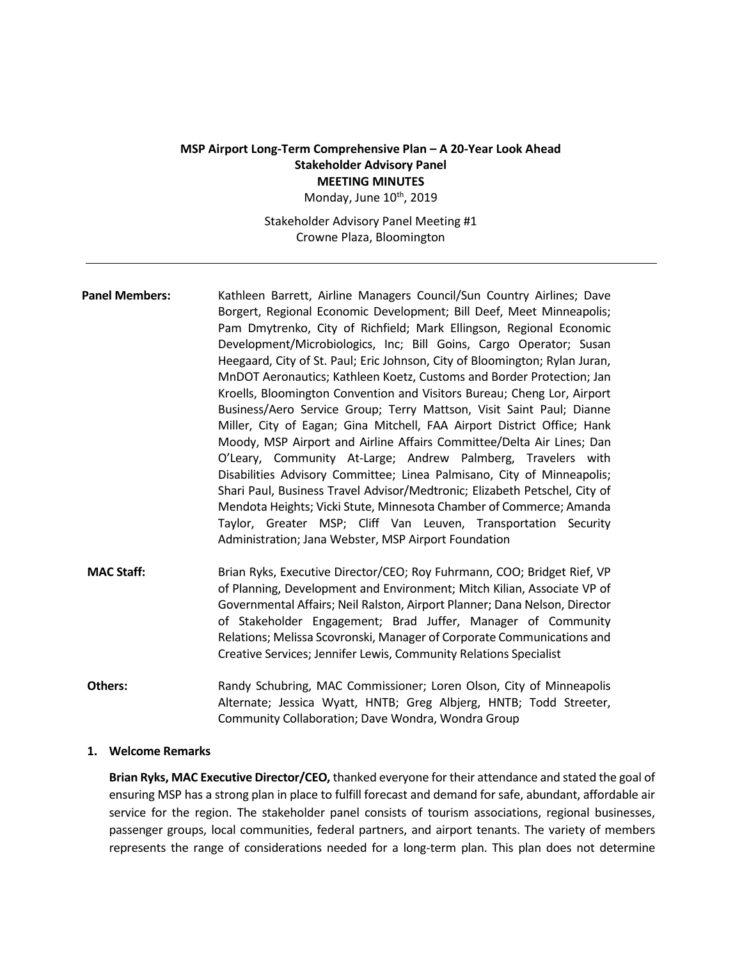# **MSP Airport Long-Term Comprehensive Plan – A 20-Year Look Ahead Stakeholder Advisory Panel MEETING MINUTES**

Monday, June 10<sup>th</sup>, 2019

Stakeholder Advisory Panel Meeting #1 Crowne Plaza, Bloomington

- Panel Members: Kathleen Barrett, Airline Managers Council/Sun Country Airlines; Dave Borgert, Regional Economic Development; Bill Deef, Meet Minneapolis; Pam Dmytrenko, City of Richfield; Mark Ellingson, Regional Economic Development/Microbiologics, Inc; Bill Goins, Cargo Operator; Susan Heegaard, City of St. Paul; Eric Johnson, City of Bloomington; Rylan Juran, MnDOT Aeronautics; Kathleen Koetz, Customs and Border Protection; Jan Kroells, Bloomington Convention and Visitors Bureau; Cheng Lor, Airport Business/Aero Service Group; Terry Mattson, Visit Saint Paul; Dianne Miller, City of Eagan; Gina Mitchell, FAA Airport District Office; Hank Moody, MSP Airport and Airline Affairs Committee/Delta Air Lines; Dan O'Leary, Community At-Large; Andrew Palmberg, Travelers with Disabilities Advisory Committee; Linea Palmisano, City of Minneapolis; Shari Paul, Business Travel Advisor/Medtronic; Elizabeth Petschel, City of Mendota Heights; Vicki Stute, Minnesota Chamber of Commerce; Amanda Taylor, Greater MSP; Cliff Van Leuven, Transportation Security Administration; Jana Webster, MSP Airport Foundation
- **MAC Staff:** Brian Ryks, Executive Director/CEO; Roy Fuhrmann, COO; Bridget Rief, VP of Planning, Development and Environment; Mitch Kilian, Associate VP of Governmental Affairs; Neil Ralston, Airport Planner; Dana Nelson, Director of Stakeholder Engagement; Brad Juffer, Manager of Community Relations; Melissa Scovronski, Manager of Corporate Communications and Creative Services; Jennifer Lewis, Community Relations Specialist
- **Others:** Randy Schubring, MAC Commissioner; Loren Olson, City of Minneapolis Alternate; Jessica Wyatt, HNTB; Greg Albjerg, HNTB; Todd Streeter, Community Collaboration; Dave Wondra, Wondra Group

#### **1. Welcome Remarks**

**Brian Ryks, MAC Executive Director/CEO,** thanked everyone for their attendance and stated the goal of ensuring MSP has a strong plan in place to fulfill forecast and demand for safe, abundant, affordable air service for the region. The stakeholder panel consists of tourism associations, regional businesses, passenger groups, local communities, federal partners, and airport tenants. The variety of members represents the range of considerations needed for a long-term plan. This plan does not determine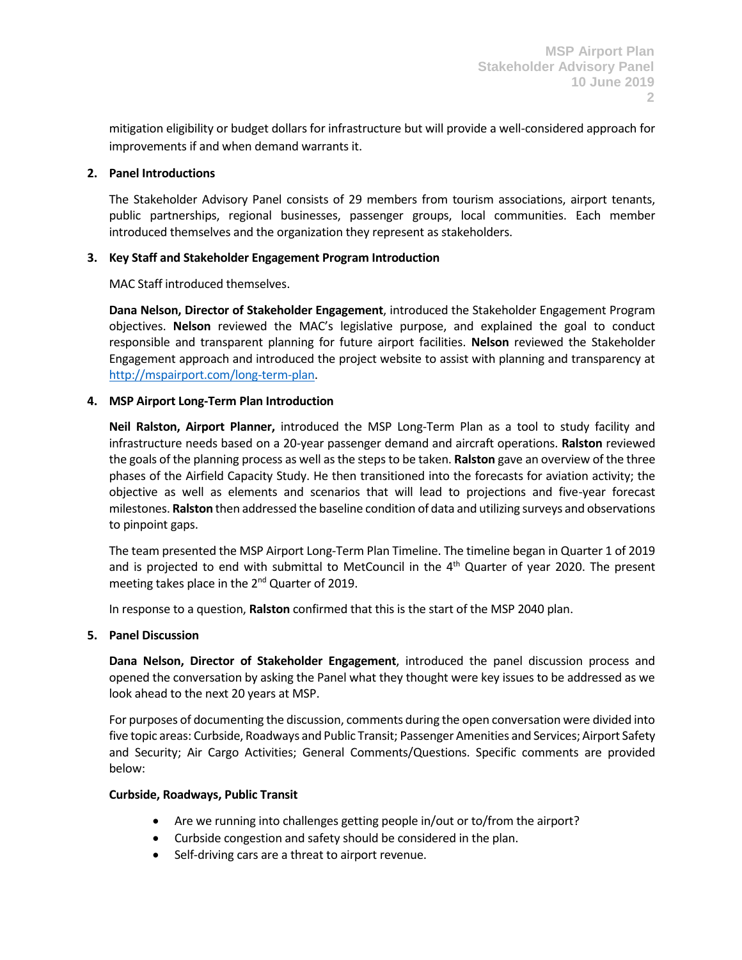mitigation eligibility or budget dollars for infrastructure but will provide a well-considered approach for improvements if and when demand warrants it.

### **2. Panel Introductions**

The Stakeholder Advisory Panel consists of 29 members from tourism associations, airport tenants, public partnerships, regional businesses, passenger groups, local communities. Each member introduced themselves and the organization they represent as stakeholders.

## **3. Key Staff and Stakeholder Engagement Program Introduction**

MAC Staff introduced themselves.

**Dana Nelson, Director of Stakeholder Engagement**, introduced the Stakeholder Engagement Program objectives. **Nelson** reviewed the MAC's legislative purpose, and explained the goal to conduct responsible and transparent planning for future airport facilities. **Nelson** reviewed the Stakeholder Engagement approach and introduced the project website to assist with planning and transparency at [http://mspairport.com/long-term-plan.](http://mspairport.com/long-term-plan)

## **4. MSP Airport Long-Term Plan Introduction**

**Neil Ralston, Airport Planner,** introduced the MSP Long-Term Plan as a tool to study facility and infrastructure needs based on a 20-year passenger demand and aircraft operations. **Ralston** reviewed the goals of the planning process as well as the steps to be taken. **Ralston** gave an overview of the three phases of the Airfield Capacity Study. He then transitioned into the forecasts for aviation activity; the objective as well as elements and scenarios that will lead to projections and five-year forecast milestones. **Ralston** then addressed the baseline condition of data and utilizing surveys and observations to pinpoint gaps.

The team presented the MSP Airport Long-Term Plan Timeline. The timeline began in Quarter 1 of 2019 and is projected to end with submittal to MetCouncil in the  $4<sup>th</sup>$  Quarter of year 2020. The present meeting takes place in the 2<sup>nd</sup> Quarter of 2019.

In response to a question, **Ralston** confirmed that this is the start of the MSP 2040 plan.

### **5. Panel Discussion**

**Dana Nelson, Director of Stakeholder Engagement**, introduced the panel discussion process and opened the conversation by asking the Panel what they thought were key issues to be addressed as we look ahead to the next 20 years at MSP.

For purposes of documenting the discussion, comments during the open conversation were divided into five topic areas: Curbside, Roadways and Public Transit; Passenger Amenities and Services; Airport Safety and Security; Air Cargo Activities; General Comments/Questions. Specific comments are provided below:

### **Curbside, Roadways, Public Transit**

- Are we running into challenges getting people in/out or to/from the airport?
- Curbside congestion and safety should be considered in the plan.
- Self-driving cars are a threat to airport revenue.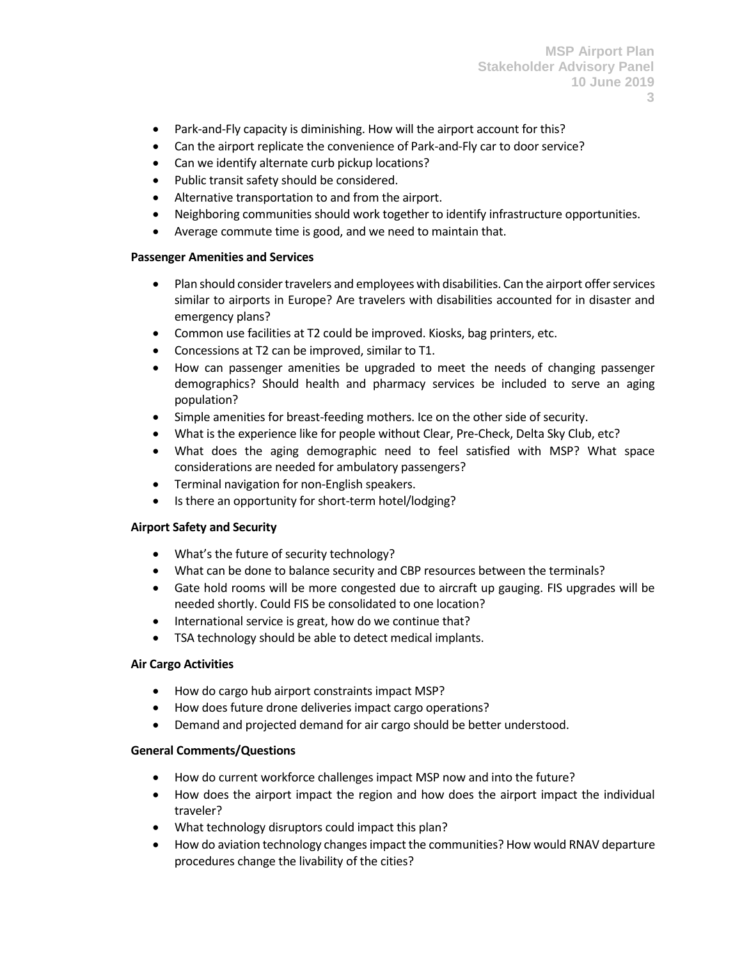- Park-and-Fly capacity is diminishing. How will the airport account for this?
- Can the airport replicate the convenience of Park-and-Fly car to door service?
- Can we identify alternate curb pickup locations?
- Public transit safety should be considered.
- Alternative transportation to and from the airport.
- Neighboring communities should work together to identify infrastructure opportunities.
- Average commute time is good, and we need to maintain that.

#### **Passenger Amenities and Services**

- Plan should consider travelers and employees with disabilities. Can the airport offer services similar to airports in Europe? Are travelers with disabilities accounted for in disaster and emergency plans?
- Common use facilities at T2 could be improved. Kiosks, bag printers, etc.
- Concessions at T2 can be improved, similar to T1.
- How can passenger amenities be upgraded to meet the needs of changing passenger demographics? Should health and pharmacy services be included to serve an aging population?
- Simple amenities for breast-feeding mothers. Ice on the other side of security.
- What is the experience like for people without Clear, Pre-Check, Delta Sky Club, etc?
- What does the aging demographic need to feel satisfied with MSP? What space considerations are needed for ambulatory passengers?
- Terminal navigation for non-English speakers.
- Is there an opportunity for short-term hotel/lodging?

### **Airport Safety and Security**

- What's the future of security technology?
- What can be done to balance security and CBP resources between the terminals?
- Gate hold rooms will be more congested due to aircraft up gauging. FIS upgrades will be needed shortly. Could FIS be consolidated to one location?
- International service is great, how do we continue that?
- TSA technology should be able to detect medical implants.

### **Air Cargo Activities**

- How do cargo hub airport constraints impact MSP?
- How does future drone deliveries impact cargo operations?
- Demand and projected demand for air cargo should be better understood.

### **General Comments/Questions**

- How do current workforce challenges impact MSP now and into the future?
- How does the airport impact the region and how does the airport impact the individual traveler?
- What technology disruptors could impact this plan?
- How do aviation technology changes impact the communities? How would RNAV departure procedures change the livability of the cities?